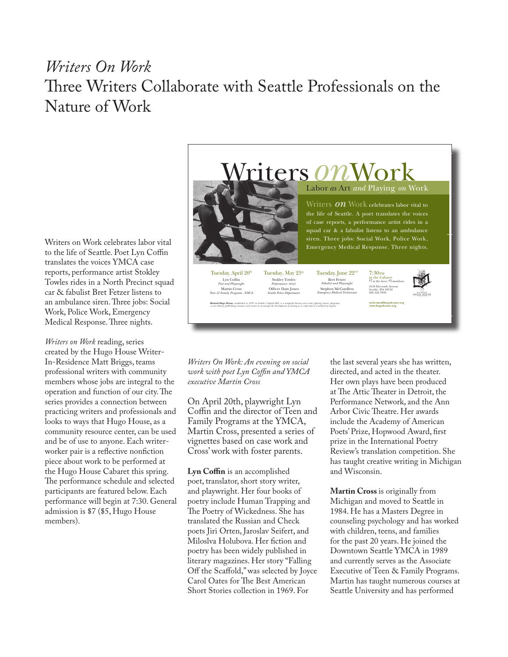## *Writers On Work* Three Writers Collaborate with Seattle Professionals on the Nature of Work

Writers on Work celebrates labor vital to the life of Seattle. Poet Lyn Coffin translates the voices YMCA case reports, performance artist Stokley Towles rides in a North Precinct squad car & fabulist Bret Fetzer listens to an ambulance siren. Three jobs: Social Work, Police Work, Emergency Medical Response. Three nights.

*Writers on Work* reading, series created by the Hugo House Writer-In-Residence Matt Briggs, teams professional writers with community members whose jobs are integral to the operation and function of our city. The series provides a connection between practicing writers and professionals and looks to ways that Hugo House, as a community resource center, can be used and be of use to anyone. Each writerworker pair is a reflective nonfiction piece about work to be performed at the Hugo House Cabaret this spring. The performance schedule and selected participants are featured below. Each performance will begin at 7:30. General admission is \$7 (\$5, Hugo House members).



*Writers On Work: An evening on social work with poet Lyn Coffin and YMCA executive Martin Cross*

On April 20th, playwright Lyn Coffin and the director of Teen and Family Programs at the YMCA, Martin Cross, presented a series of vignettes based on case work and Cross' work with foster parents.

**Lyn Coffin** is an accomplished poet, translator, short story writer, and playwright. Her four books of poetry include Human Trapping and The Poetry of Wickedness. She has translated the Russian and Check poets Jiri Orten, Jaroslav Seifert, and Miloslva Holubova. Her fiction and poetry has been widely published in literary magazines. Her story "Falling Off the Scaffold," was selected by Joyce Carol Oates for The Best American Short Stories collection in 1969. For

the last several years she has written, directed, and acted in the theater. Her own plays have been produced at The Attic Theater in Detroit, the Performance Network, and the Ann Arbor Civic Theatre. Her awards include the Academy of American Poets' Prize, Hopwood Award, first prize in the International Poetry Review's translation competition. She has taught creative writing in Michigan and Wisconsin.

**Martin Cross** is originally from Michigan and moved to Seattle in 1984. He has a Masters Degree in counseling psychology and has worked with children, teens, and families for the past 20 years. He joined the Downtown Seattle YMCA in 1989 and currently serves as the Associate Executive of Teen & Family Programs. Martin has taught numerous courses at Seattle University and has performed